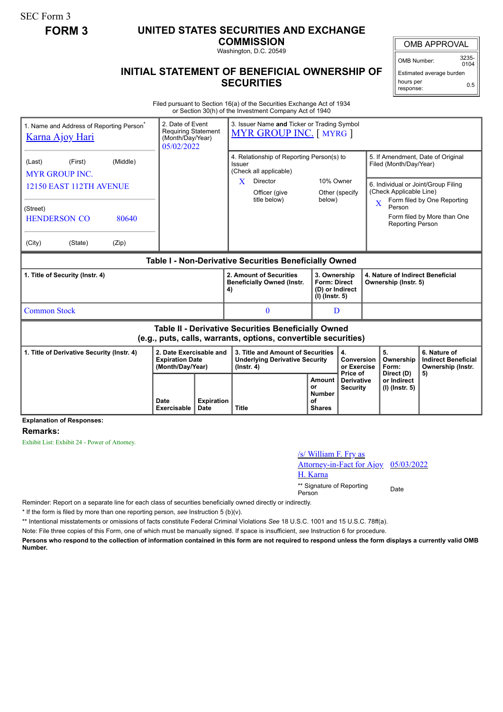SEC Form 3

## **FORM 3 UNITED STATES SECURITIES AND EXCHANGE**

**COMMISSION** Washington, D.C. 20549

OMB Number: 3235-  $0104$ 

Estimated average burden hours per response: 0.5

## **INITIAL STATEMENT OF BENEFICIAL OWNERSHIP OF SECURITIES**

Filed pursuant to Section 16(a) of the Securities Exchange Act of 1934 or Section 30(h) of the Investment Company Act of 1940

| 1. Name and Address of Reporting Person <sup>®</sup><br><b>Karna Ajoy Hari</b>                                                                              | 2. Date of Event<br><b>Requiring Statement</b><br>(Month/Day/Year)<br>05/02/2022 |                           | 3. Issuer Name and Ticker or Trading Symbol<br><b>MYR GROUP INC.</b> [ MYRG ]                                                   |                                                      |                                                                            |                |                                                                                        |                                                                                                                                        |  |
|-------------------------------------------------------------------------------------------------------------------------------------------------------------|----------------------------------------------------------------------------------|---------------------------|---------------------------------------------------------------------------------------------------------------------------------|------------------------------------------------------|----------------------------------------------------------------------------|----------------|----------------------------------------------------------------------------------------|----------------------------------------------------------------------------------------------------------------------------------------|--|
| (Middle)<br>(First)<br>(Last)<br><b>MYR GROUP INC.</b><br>12150 EAST 112TH AVENUE<br>(Street)<br><b>HENDERSON CO</b><br>80640<br>(Zip)<br>(City)<br>(State) |                                                                                  |                           | 4. Relationship of Reporting Person(s) to<br>Issuer<br>(Check all applicable)<br>Director<br>X<br>Officer (give<br>title below) | 10% Owner<br>below)                                  | Other (specify                                                             | $\overline{X}$ | Filed (Month/Day/Year)<br>(Check Applicable Line)<br>Person<br><b>Reporting Person</b> | 5. If Amendment, Date of Original<br>6. Individual or Joint/Group Filing<br>Form filed by One Reporting<br>Form filed by More than One |  |
| Table I - Non-Derivative Securities Beneficially Owned                                                                                                      |                                                                                  |                           |                                                                                                                                 |                                                      |                                                                            |                |                                                                                        |                                                                                                                                        |  |
| 1. Title of Security (Instr. 4)                                                                                                                             |                                                                                  |                           | 2. Amount of Securities<br><b>Beneficially Owned (Instr.</b><br>4)                                                              |                                                      | 3. Ownership<br><b>Form: Direct</b><br>(D) or Indirect<br>$(I)$ (lnstr. 5) |                | 4. Nature of Indirect Beneficial<br>Ownership (Instr. 5)                               |                                                                                                                                        |  |
| <b>Common Stock</b>                                                                                                                                         |                                                                                  |                           | $\Omega$                                                                                                                        |                                                      | D                                                                          |                |                                                                                        |                                                                                                                                        |  |
| Table II - Derivative Securities Beneficially Owned<br>(e.g., puts, calls, warrants, options, convertible securities)                                       |                                                                                  |                           |                                                                                                                                 |                                                      |                                                                            |                |                                                                                        |                                                                                                                                        |  |
| 2. Date Exercisable and<br>1. Title of Derivative Security (Instr. 4)<br><b>Expiration Date</b><br>(Month/Day/Year)                                         |                                                                                  |                           | 3. Title and Amount of Securities<br><b>Underlying Derivative Security</b><br>$($ lnstr. 4 $)$                                  |                                                      | 4.<br>Conversion<br>or Exercise                                            |                | 5.<br>Ownership<br>Form:                                                               | 6. Nature of<br><b>Indirect Beneficial</b><br>Ownership (Instr.                                                                        |  |
| <b>Explanation of Responses:</b>                                                                                                                            | Date<br>Exercisable                                                              | <b>Expiration</b><br>Date | <b>Title</b>                                                                                                                    | Amount<br>or<br><b>Number</b><br>οf<br><b>Shares</b> | Price of<br><b>Derivative</b><br><b>Security</b>                           |                | Direct (D)<br>or Indirect<br>(I) (Instr. 5)                                            | 5)                                                                                                                                     |  |

## **Remarks:**

Exhibit List: Exhibit 24 - Power of Attorney.

| /s/ William F. Fry as                |  |
|--------------------------------------|--|
| Attorney-in-Fact for Ajoy 05/03/2022 |  |
| H. Karna                             |  |
| ** Signature of Penorting            |  |

\*\* Signature of Reporting Person Date

Reminder: Report on a separate line for each class of securities beneficially owned directly or indirectly.

\* If the form is filed by more than one reporting person, *see* Instruction 5 (b)(v).

\*\* Intentional misstatements or omissions of facts constitute Federal Criminal Violations *See* 18 U.S.C. 1001 and 15 U.S.C. 78ff(a).

Note: File three copies of this Form, one of which must be manually signed. If space is insufficient, *see* Instruction 6 for procedure.

**Persons who respond to the collection of information contained in this form are not required to respond unless the form displays a currently valid OMB Number.**

## OMB APPROVAL